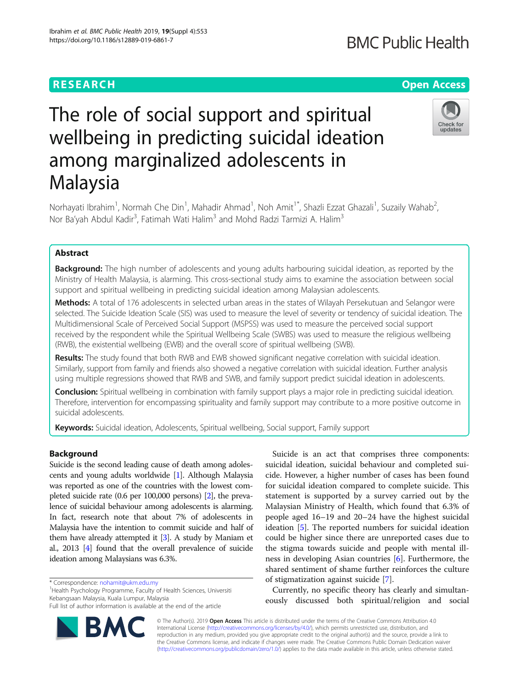## **RESEARCH CHE Open Access**

# The role of social support and spiritual wellbeing in predicting suicidal ideation among marginalized adolescents in Malaysia

Norhayati Ibrahim<sup>1</sup>, Normah Che Din<sup>1</sup>, Mahadir Ahmad<sup>1</sup>, Noh Amit<sup>1\*</sup>, Shazli Ezzat Ghazali<sup>1</sup>, Suzaily Wahab<sup>2</sup> , Nor Ba'yah Abdul Kadir<sup>3</sup>, Fatimah Wati Halim<sup>3</sup> and Mohd Radzi Tarmizi A. Halim<sup>3</sup>

## Abstract

**Background:** The high number of adolescents and young adults harbouring suicidal ideation, as reported by the Ministry of Health Malaysia, is alarming. This cross-sectional study aims to examine the association between social support and spiritual wellbeing in predicting suicidal ideation among Malaysian adolescents.

Methods: A total of 176 adolescents in selected urban areas in the states of Wilayah Persekutuan and Selangor were selected. The Suicide Ideation Scale (SIS) was used to measure the level of severity or tendency of suicidal ideation. The Multidimensional Scale of Perceived Social Support (MSPSS) was used to measure the perceived social support received by the respondent while the Spiritual Wellbeing Scale (SWBS) was used to measure the religious wellbeing (RWB), the existential wellbeing (EWB) and the overall score of spiritual wellbeing (SWB).

Results: The study found that both RWB and EWB showed significant negative correlation with suicidal ideation. Similarly, support from family and friends also showed a negative correlation with suicidal ideation. Further analysis using multiple regressions showed that RWB and SWB, and family support predict suicidal ideation in adolescents.

**Conclusion:** Spiritual wellbeing in combination with family support plays a major role in predicting suicidal ideation. Therefore, intervention for encompassing spirituality and family support may contribute to a more positive outcome in suicidal adolescents.

Keywords: Suicidal ideation, Adolescents, Spiritual wellbeing, Social support, Family support

## Background

Suicide is the second leading cause of death among adolescents and young adults worldwide [\[1\]](#page-6-0). Although Malaysia was reported as one of the countries with the lowest completed suicide rate (0.6 per 100,000 persons) [\[2](#page-6-0)], the prevalence of suicidal behaviour among adolescents is alarming. In fact, research note that about 7% of adolescents in Malaysia have the intention to commit suicide and half of them have already attempted it [\[3\]](#page-6-0). A study by Maniam et al., 2013 [\[4\]](#page-6-0) found that the overall prevalence of suicide ideation among Malaysians was 6.3%.

\* Correspondence: [nohamit@ukm.edu.my](mailto:nohamit@ukm.edu.my) <sup>1</sup>

<sup>1</sup> Health Psychology Programme, Faculty of Health Sciences, Universiti Kebangsaan Malaysia, Kuala Lumpur, Malaysia

cide. However, a higher number of cases has been found for suicidal ideation compared to complete suicide. This statement is supported by a survey carried out by the Malaysian Ministry of Health, which found that 6.3% of people aged 16–19 and 20–24 have the highest suicidal ideation [\[5](#page-6-0)]. The reported numbers for suicidal ideation could be higher since there are unreported cases due to the stigma towards suicide and people with mental illness in developing Asian countries [[6\]](#page-6-0). Furthermore, the shared sentiment of shame further reinforces the culture of stigmatization against suicide [[7\]](#page-6-0). Currently, no specific theory has clearly and simultan-

Suicide is an act that comprises three components: suicidal ideation, suicidal behaviour and completed sui-

eously discussed both spiritual/religion and social

© The Author(s). 2019 **Open Access** This article is distributed under the terms of the Creative Commons Attribution 4.0 International License [\(http://creativecommons.org/licenses/by/4.0/](http://creativecommons.org/licenses/by/4.0/)), which permits unrestricted use, distribution, and reproduction in any medium, provided you give appropriate credit to the original author(s) and the source, provide a link to the Creative Commons license, and indicate if changes were made. The Creative Commons Public Domain Dedication waiver [\(http://creativecommons.org/publicdomain/zero/1.0/](http://creativecommons.org/publicdomain/zero/1.0/)) applies to the data made available in this article, unless otherwise stated.





## **BMC Public Health**

Full list of author information is available at the end of the article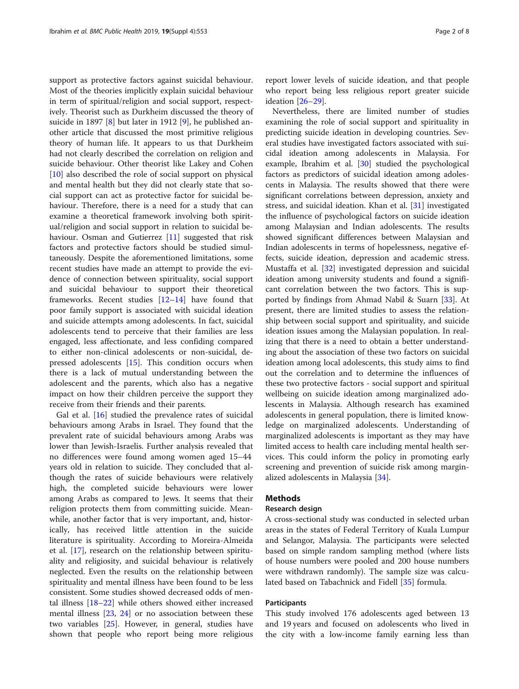support as protective factors against suicidal behaviour. Most of the theories implicitly explain suicidal behaviour in term of spiritual/religion and social support, respectively. Theorist such as Durkheim discussed the theory of suicide in 1897 [\[8](#page-6-0)] but later in 1912 [\[9](#page-6-0)], he published another article that discussed the most primitive religious theory of human life. It appears to us that Durkheim had not clearly described the correlation on religion and suicide behaviour. Other theorist like Lakey and Cohen [[10\]](#page-6-0) also described the role of social support on physical and mental health but they did not clearly state that social support can act as protective factor for suicidal behaviour. Therefore, there is a need for a study that can examine a theoretical framework involving both spiritual/religion and social support in relation to suicidal behaviour. Osman and Gutierrez [[11\]](#page-6-0) suggested that risk factors and protective factors should be studied simultaneously. Despite the aforementioned limitations, some recent studies have made an attempt to provide the evidence of connection between spirituality, social support and suicidal behaviour to support their theoretical frameworks. Recent studies [[12](#page-6-0)–[14](#page-6-0)] have found that poor family support is associated with suicidal ideation and suicide attempts among adolescents. In fact, suicidal adolescents tend to perceive that their families are less engaged, less affectionate, and less confiding compared to either non-clinical adolescents or non-suicidal, depressed adolescents [[15\]](#page-6-0). This condition occurs when there is a lack of mutual understanding between the adolescent and the parents, which also has a negative impact on how their children perceive the support they receive from their friends and their parents.

Gal et al. [\[16](#page-6-0)] studied the prevalence rates of suicidal behaviours among Arabs in Israel. They found that the prevalent rate of suicidal behaviours among Arabs was lower than Jewish-Israelis. Further analysis revealed that no differences were found among women aged 15–44 years old in relation to suicide. They concluded that although the rates of suicide behaviours were relatively high, the completed suicide behaviours were lower among Arabs as compared to Jews. It seems that their religion protects them from committing suicide. Meanwhile, another factor that is very important, and, historically, has received little attention in the suicide literature is spirituality. According to Moreira-Almeida et al. [[17\]](#page-6-0), research on the relationship between spirituality and religiosity, and suicidal behaviour is relatively neglected. Even the results on the relationship between spirituality and mental illness have been found to be less consistent. Some studies showed decreased odds of mental illness [[18](#page-6-0)–[22](#page-6-0)] while others showed either increased mental illness [\[23](#page-6-0), [24](#page-6-0)] or no association between these two variables [\[25\]](#page-6-0). However, in general, studies have shown that people who report being more religious

report lower levels of suicide ideation, and that people who report being less religious report greater suicide ideation [[26](#page-6-0)–[29](#page-6-0)].

Nevertheless, there are limited number of studies examining the role of social support and spirituality in predicting suicide ideation in developing countries. Several studies have investigated factors associated with suicidal ideation among adolescents in Malaysia. For example, Ibrahim et al. [\[30](#page-6-0)] studied the psychological factors as predictors of suicidal ideation among adolescents in Malaysia. The results showed that there were significant correlations between depression, anxiety and stress, and suicidal ideation. Khan et al. [\[31](#page-6-0)] investigated the influence of psychological factors on suicide ideation among Malaysian and Indian adolescents. The results showed significant differences between Malaysian and Indian adolescents in terms of hopelessness, negative effects, suicide ideation, depression and academic stress. Mustaffa et al. [\[32](#page-6-0)] investigated depression and suicidal ideation among university students and found a significant correlation between the two factors. This is supported by findings from Ahmad Nabil & Suarn [[33](#page-6-0)]. At present, there are limited studies to assess the relationship between social support and spirituality, and suicide ideation issues among the Malaysian population. In realizing that there is a need to obtain a better understanding about the association of these two factors on suicidal ideation among local adolescents, this study aims to find out the correlation and to determine the influences of these two protective factors - social support and spiritual wellbeing on suicide ideation among marginalized adolescents in Malaysia. Although research has examined adolescents in general population, there is limited knowledge on marginalized adolescents. Understanding of marginalized adolescents is important as they may have limited access to health care including mental health services. This could inform the policy in promoting early screening and prevention of suicide risk among marginalized adolescents in Malaysia [\[34](#page-6-0)].

## **Methods**

## Research design

A cross-sectional study was conducted in selected urban areas in the states of Federal Territory of Kuala Lumpur and Selangor, Malaysia. The participants were selected based on simple random sampling method (where lists of house numbers were pooled and 200 house numbers were withdrawn randomly). The sample size was calculated based on Tabachnick and Fidell [[35\]](#page-6-0) formula.

## Participants

This study involved 176 adolescents aged between 13 and 19 years and focused on adolescents who lived in the city with a low-income family earning less than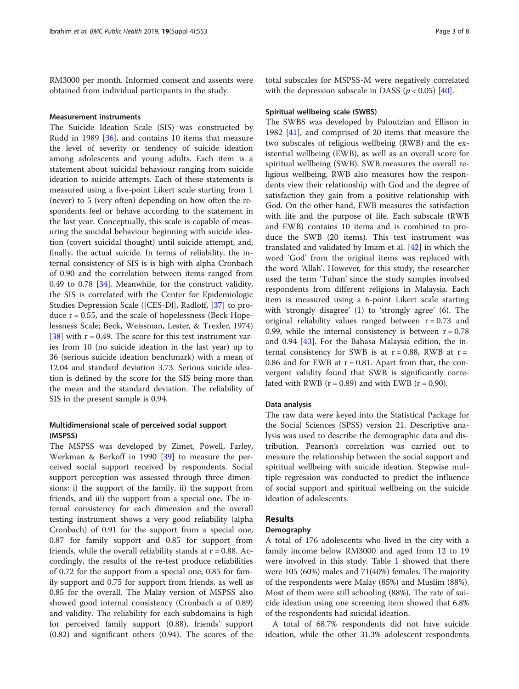RM3000 per month. Informed consent and assents were obtained from individual participants in the study.

#### Measurement instruments

The Suicide Ideation Scale (SIS) was constructed by Rudd in 1989 [[36\]](#page-6-0), and contains 10 items that measure the level of severity or tendency of suicide ideation among adolescents and young adults. Each item is a statement about suicidal behaviour ranging from suicide ideation to suicide attempts. Each of these statements is measured using a five-point Likert scale starting from 1 (never) to 5 (very often) depending on how often the respondents feel or behave according to the statement in the last year. Conceptually, this scale is capable of measuring the suicidal behaviour beginning with suicide ideation (covert suicidal thought) until suicide attempt, and, finally, the actual suicide. In terms of reliability, the internal consistency of SIS is is high with alpha Cronbach of 0.90 and the correlation between items ranged from 0.49 to 0.78 [[34\]](#page-6-0). Meanwhile, for the construct validity, the SIS is correlated with the Center for Epidemiologic Studies Depression Scale ([CES-Dl], Radloff, [\[37](#page-6-0)] to produce  $r = 0.55$ , and the scale of hopelessness (Beck Hopelessness Scale; Beck, Weissman, Lester, & Trexler, 1974) [ $38$ ] with  $r = 0.49$ . The score for this test instrument varies from 10 (no suicide ideation in the last year) up to 36 (serious suicide ideation benchmark) with a mean of 12.04 and standard deviation 3.73. Serious suicide ideation is defined by the score for the SIS being more than the mean and the standard deviation. The reliability of SIS in the present sample is 0.94.

## Multidimensional scale of perceived social support (MSPSS)

The MSPSS was developed by Zimet, Powell, Farley, Werkman & Berkoff in 1990 [[39](#page-6-0)] to measure the perceived social support received by respondents. Social support perception was assessed through three dimensions: i) the support of the family, ii) the support from friends, and iii) the support from a special one. The internal consistency for each dimension and the overall testing instrument shows a very good reliability (alpha Cronbach) of 0.91 for the support from a special one, 0.87 for family support and 0.85 for support from friends, while the overall reliability stands at  $r = 0.88$ . Accordingly, the results of the re-test produce reliabilities of 0.72 for the support from a special one, 0.85 for family support and 0.75 for support from friends, as well as 0.85 for the overall. The Malay version of MSPSS also showed good internal consistency (Cronbach α of 0.89) and validity. The reliability for each subdomains is high for perceived family support (0.88), friends' support (0.82) and significant others (0.94). The scores of the

total subscales for MSPSS-M were negatively correlated with the depression subscale in DASS ( $p < 0.05$ ) [\[40](#page-6-0)].

#### Spiritual wellbeing scale (SWBS)

The SWBS was developed by Paloutzian and Ellison in 1982 [\[41](#page-6-0)], and comprised of 20 items that measure the two subscales of religious wellbeing (RWB) and the existential wellbeing (EWB), as well as an overall score for spiritual wellbeing (SWB). SWB measures the overall religious wellbeing. RWB also measures how the respondents view their relationship with God and the degree of satisfaction they gain from a positive relationship with God. On the other hand, EWB measures the satisfaction with life and the purpose of life. Each subscale (RWB and EWB) contains 10 items and is combined to produce the SWB (20 items). This test instrument was translated and validated by Imam et al. [\[42\]](#page-7-0) in which the word 'God' from the original items was replaced with the word 'Allah'. However, for this study, the researcher used the term 'Tuhan' since the study samples involved respondents from different religions in Malaysia. Each item is measured using a 6-point Likert scale starting with 'strongly disagree' (1) to 'strongly agree' (6). The original reliability values ranged between  $r = 0.73$  and 0.99, while the internal consistency is between  $r = 0.78$ and 0.94 [\[43](#page-7-0)]. For the Bahasa Malaysia edition, the internal consistency for SWB is at  $r = 0.88$ , RWB at  $r =$ 0.86 and for EWB at  $r = 0.81$ . Apart from that, the convergent validity found that SWB is significantly correlated with RWB ( $r = 0.89$ ) and with EWB ( $r = 0.90$ ).

#### Data analysis

The raw data were keyed into the Statistical Package for the Social Sciences (SPSS) version 21. Descriptive analysis was used to describe the demographic data and distribution. Pearson's correlation was carried out to measure the relationship between the social support and spiritual wellbeing with suicide ideation. Stepwise multiple regression was conducted to predict the influence of social support and spiritual wellbeing on the suicide ideation of adolescents.

## Results

## Demography

A total of 176 adolescents who lived in the city with a family income below RM3000 and aged from 12 to 19 were involved in this study. Table [1](#page-3-0) showed that there were 105 (60%) males and 71(40%) females. The majority of the respondents were Malay (85%) and Muslim (88%). Most of them were still schooling (88%). The rate of suicide ideation using one screening item showed that 6.8% of the respondents had suicidal ideation.

A total of 68.7% respondents did not have suicide ideation, while the other 31.3% adolescent respondents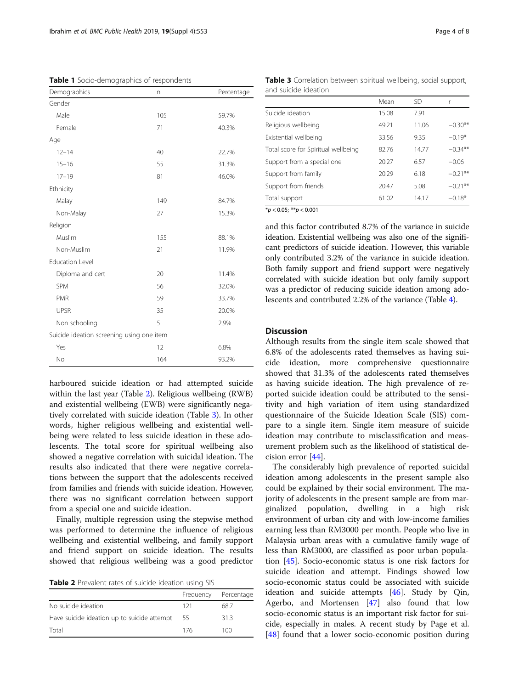<span id="page-3-0"></span>Table 1 Socio-demographics of respondents

| Demographics                              | n   | Percentage |  |  |  |
|-------------------------------------------|-----|------------|--|--|--|
| Gender                                    |     |            |  |  |  |
| Male                                      | 105 | 59.7%      |  |  |  |
| Female                                    | 71  | 40.3%      |  |  |  |
| Age                                       |     |            |  |  |  |
| $12 - 14$                                 | 40  | 22.7%      |  |  |  |
| $15 - 16$                                 | 55  | 31.3%      |  |  |  |
| $17 - 19$                                 | 81  | 46.0%      |  |  |  |
| Ethnicity                                 |     |            |  |  |  |
| Malay                                     | 149 | 84.7%      |  |  |  |
| Non-Malay                                 | 27  | 15.3%      |  |  |  |
| Religion                                  |     |            |  |  |  |
| Muslim                                    | 155 | 88.1%      |  |  |  |
| Non-Muslim                                | 21  | 11.9%      |  |  |  |
| <b>Education Level</b>                    |     |            |  |  |  |
| Diploma and cert                          | 20  | 11.4%      |  |  |  |
| <b>SPM</b>                                | 56  | 32.0%      |  |  |  |
| <b>PMR</b>                                | 59  | 33.7%      |  |  |  |
| <b>UPSR</b>                               | 35  | 20.0%      |  |  |  |
| Non schooling                             | 5   | 2.9%       |  |  |  |
| Suicide ideation screening using one item |     |            |  |  |  |
| Yes                                       | 12  | 6.8%       |  |  |  |
| No                                        | 164 | 93.2%      |  |  |  |

harboured suicide ideation or had attempted suicide within the last year (Table 2). Religious wellbeing (RWB) and existential wellbeing (EWB) were significantly negatively correlated with suicide ideation (Table 3). In other words, higher religious wellbeing and existential wellbeing were related to less suicide ideation in these adolescents. The total score for spiritual wellbeing also showed a negative correlation with suicidal ideation. The results also indicated that there were negative correlations between the support that the adolescents received from families and friends with suicide ideation. However, there was no significant correlation between support from a special one and suicide ideation.

Finally, multiple regression using the stepwise method was performed to determine the influence of religious wellbeing and existential wellbeing, and family support and friend support on suicide ideation. The results showed that religious wellbeing was a good predictor

Table 2 Prevalent rates of suicide ideation using SIS

|                                             | Frequency | Percentage |
|---------------------------------------------|-----------|------------|
| No suicide ideation                         | 121       | 68.7       |
| Have suicide ideation up to suicide attempt | 55        | 313        |
| Total                                       | 176       | 100        |

Table 3 Correlation between spiritual wellbeing, social support, and suicide ideation

|                                     | Mean  | SD.   |            |
|-------------------------------------|-------|-------|------------|
| Suicide ideation                    | 15.08 | 7.91  |            |
| Religious wellbeing                 | 49.21 | 11.06 | $-0.30**$  |
| Existential wellbeing               | 33.56 | 9.35  | $-0.19*$   |
| Total score for Spiritual wellbeing | 82.76 | 14.77 | $-0.34***$ |
| Support from a special one          | 20.27 | 6.57  | $-0.06$    |
| Support from family                 | 20.29 | 6.18  | $-0.21***$ |
| Support from friends                | 20.47 | 5.08  | $-0.21***$ |
| Total support                       | 61.02 | 14.17 | $-0.18*$   |

 $*p < 0.05; **p < 0.001$ 

and this factor contributed 8.7% of the variance in suicide ideation. Existential wellbeing was also one of the significant predictors of suicide ideation. However, this variable only contributed 3.2% of the variance in suicide ideation. Both family support and friend support were negatively correlated with suicide ideation but only family support was a predictor of reducing suicide ideation among adolescents and contributed 2.2% of the variance (Table [4](#page-4-0)).

## **Discussion**

Although results from the single item scale showed that 6.8% of the adolescents rated themselves as having suicide ideation, more comprehensive questionnaire showed that 31.3% of the adolescents rated themselves as having suicide ideation. The high prevalence of reported suicide ideation could be attributed to the sensitivity and high variation of item using standardized questionnaire of the Suicide Ideation Scale (SIS) compare to a single item. Single item measure of suicide ideation may contribute to misclassification and measurement problem such as the likelihood of statistical decision error [\[44\]](#page-7-0).

The considerably high prevalence of reported suicidal ideation among adolescents in the present sample also could be explained by their social environment. The majority of adolescents in the present sample are from marginalized population, dwelling in a high risk environment of urban city and with low-income families earning less than RM3000 per month. People who live in Malaysia urban areas with a cumulative family wage of less than RM3000, are classified as poor urban population [[45](#page-7-0)]. Socio-economic status is one risk factors for suicide ideation and attempt. Findings showed low socio-economic status could be associated with suicide ideation and suicide attempts [\[46\]](#page-7-0). Study by Qin, Agerbo, and Mortensen [\[47](#page-7-0)] also found that low socio-economic status is an important risk factor for suicide, especially in males. A recent study by Page et al. [[48\]](#page-7-0) found that a lower socio-economic position during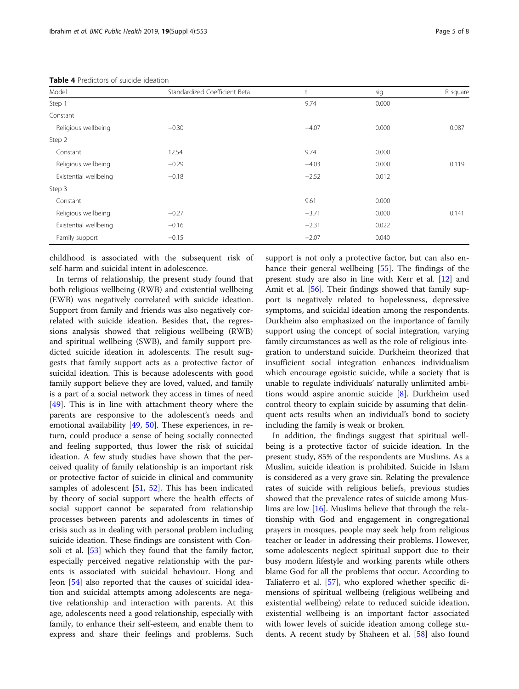| Model                 | Standardized Coefficient Beta |         | sig   | R square |
|-----------------------|-------------------------------|---------|-------|----------|
| Step 1                |                               | 9.74    | 0.000 |          |
| Constant              |                               |         |       |          |
| Religious wellbeing   | $-0.30$                       | $-4.07$ | 0.000 | 0.087    |
| Step 2                |                               |         |       |          |
| Constant              | 12.54                         | 9.74    | 0.000 |          |
| Religious wellbeing   | $-0.29$                       | $-4.03$ | 0.000 | 0.119    |
| Existential wellbeing | $-0.18$                       | $-2.52$ | 0.012 |          |
| Step 3                |                               |         |       |          |
| Constant              |                               | 9.61    | 0.000 |          |
| Religious wellbeing   | $-0.27$                       | $-3.71$ | 0.000 | 0.141    |
| Existential wellbeing | $-0.16$                       | $-2.31$ | 0.022 |          |
| Family support        | $-0.15$                       | $-2.07$ | 0.040 |          |

<span id="page-4-0"></span>Table 4 Predictors of suicide ideation

childhood is associated with the subsequent risk of self-harm and suicidal intent in adolescence.

In terms of relationship, the present study found that both religious wellbeing (RWB) and existential wellbeing (EWB) was negatively correlated with suicide ideation. Support from family and friends was also negatively correlated with suicide ideation. Besides that, the regressions analysis showed that religious wellbeing (RWB) and spiritual wellbeing (SWB), and family support predicted suicide ideation in adolescents. The result suggests that family support acts as a protective factor of suicidal ideation. This is because adolescents with good family support believe they are loved, valued, and family is a part of a social network they access in times of need [[49\]](#page-7-0). This is in line with attachment theory where the parents are responsive to the adolescent's needs and emotional availability [\[49](#page-7-0), [50\]](#page-7-0). These experiences, in return, could produce a sense of being socially connected and feeling supported, thus lower the risk of suicidal ideation. A few study studies have shown that the perceived quality of family relationship is an important risk or protective factor of suicide in clinical and community samples of adolescent [\[51,](#page-7-0) [52\]](#page-7-0). This has been indicated by theory of social support where the health effects of social support cannot be separated from relationship processes between parents and adolescents in times of crisis such as in dealing with personal problem including suicide ideation. These findings are consistent with Consoli et al. [\[53](#page-7-0)] which they found that the family factor, especially perceived negative relationship with the parents is associated with suicidal behaviour. Hong and Jeon [[54\]](#page-7-0) also reported that the causes of suicidal ideation and suicidal attempts among adolescents are negative relationship and interaction with parents. At this age, adolescents need a good relationship, especially with family, to enhance their self-esteem, and enable them to express and share their feelings and problems. Such

support is not only a protective factor, but can also enhance their general wellbeing [\[55](#page-7-0)]. The findings of the present study are also in line with Kerr et al. [\[12](#page-6-0)] and Amit et al. [[56](#page-7-0)]. Their findings showed that family support is negatively related to hopelessness, depressive symptoms, and suicidal ideation among the respondents. Durkheim also emphasized on the importance of family support using the concept of social integration, varying family circumstances as well as the role of religious integration to understand suicide. Durkheim theorized that insufficient social integration enhances individualism which encourage egoistic suicide, while a society that is unable to regulate individuals' naturally unlimited ambitions would aspire anomic suicide [[8\]](#page-6-0). Durkheim used control theory to explain suicide by assuming that delinquent acts results when an individual's bond to society including the family is weak or broken.

In addition, the findings suggest that spiritual wellbeing is a protective factor of suicide ideation. In the present study, 85% of the respondents are Muslims. As a Muslim, suicide ideation is prohibited. Suicide in Islam is considered as a very grave sin. Relating the prevalence rates of suicide with religious beliefs, previous studies showed that the prevalence rates of suicide among Muslims are low [\[16](#page-6-0)]. Muslims believe that through the relationship with God and engagement in congregational prayers in mosques, people may seek help from religious teacher or leader in addressing their problems. However, some adolescents neglect spiritual support due to their busy modern lifestyle and working parents while others blame God for all the problems that occur. According to Taliaferro et al. [[57\]](#page-7-0), who explored whether specific dimensions of spiritual wellbeing (religious wellbeing and existential wellbeing) relate to reduced suicide ideation, existential wellbeing is an important factor associated with lower levels of suicide ideation among college students. A recent study by Shaheen et al. [\[58\]](#page-7-0) also found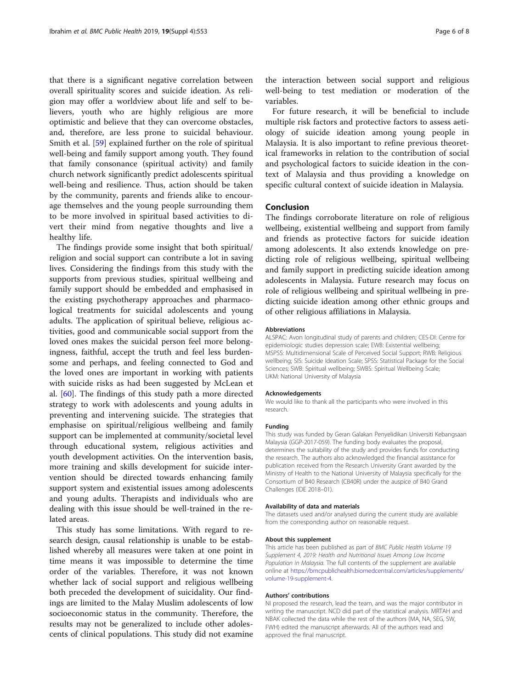that there is a significant negative correlation between overall spirituality scores and suicide ideation. As religion may offer a worldview about life and self to believers, youth who are highly religious are more optimistic and believe that they can overcome obstacles, and, therefore, are less prone to suicidal behaviour. Smith et al. [\[59](#page-7-0)] explained further on the role of spiritual well-being and family support among youth. They found that family consonance (spiritual activity) and family church network significantly predict adolescents spiritual well-being and resilience. Thus, action should be taken by the community, parents and friends alike to encourage themselves and the young people surrounding them to be more involved in spiritual based activities to divert their mind from negative thoughts and live a healthy life.

The findings provide some insight that both spiritual/ religion and social support can contribute a lot in saving lives. Considering the findings from this study with the supports from previous studies, spiritual wellbeing and family support should be embedded and emphasised in the existing psychotherapy approaches and pharmacological treatments for suicidal adolescents and young adults. The application of spiritual believe, religious activities, good and communicable social support from the loved ones makes the suicidal person feel more belongingness, faithful, accept the truth and feel less burdensome and perhaps, and feeling connected to God and the loved ones are important in working with patients with suicide risks as had been suggested by McLean et al. [[60](#page-7-0)]. The findings of this study path a more directed strategy to work with adolescents and young adults in preventing and intervening suicide. The strategies that emphasise on spiritual/religious wellbeing and family support can be implemented at community/societal level through educational system, religious activities and youth development activities. On the intervention basis, more training and skills development for suicide intervention should be directed towards enhancing family support system and existential issues among adolescents and young adults. Therapists and individuals who are dealing with this issue should be well-trained in the related areas.

This study has some limitations. With regard to research design, causal relationship is unable to be established whereby all measures were taken at one point in time means it was impossible to determine the time order of the variables. Therefore, it was not known whether lack of social support and religious wellbeing both preceded the development of suicidality. Our findings are limited to the Malay Muslim adolescents of low socioeconomic status in the community. Therefore, the results may not be generalized to include other adolescents of clinical populations. This study did not examine the interaction between social support and religious well-being to test mediation or moderation of the variables.

For future research, it will be beneficial to include multiple risk factors and protective factors to assess aetiology of suicide ideation among young people in Malaysia. It is also important to refine previous theoretical frameworks in relation to the contribution of social and psychological factors to suicide ideation in the context of Malaysia and thus providing a knowledge on specific cultural context of suicide ideation in Malaysia.

## Conclusion

The findings corroborate literature on role of religious wellbeing, existential wellbeing and support from family and friends as protective factors for suicide ideation among adolescents. It also extends knowledge on predicting role of religious wellbeing, spiritual wellbeing and family support in predicting suicide ideation among adolescents in Malaysia. Future research may focus on role of religious wellbeing and spiritual wellbeing in predicting suicide ideation among other ethnic groups and of other religious affiliations in Malaysia.

#### Abbreviations

ALSPAC: Avon longitudinal study of parents and children; CES-Dl: Centre for epidemiologic studies depression scale; EWB: Existential wellbeing; MSPSS: Multidimensional Scale of Perceived Social Support; RWB: Religious wellbeing; SIS: Suicide Ideation Scale; SPSS: Statistical Package for the Social Sciences; SWB: Spiritual wellbeing; SWBS: Spiritual Wellbeing Scale; UKM: National University of Malaysia

#### Acknowledgements

We would like to thank all the participants who were involved in this research.

#### Funding

This study was funded by Geran Galakan Penyelidikan Universiti Kebangsaan Malaysia (GGP-2017-059). The funding body evaluates the proposal, determines the suitability of the study and provides funds for conducting the research. The authors also acknowledged the financial assistance for publication received from the Research University Grant awarded by the Ministry of Health to the National University of Malaysia specifically for the Consortium of B40 Research (CB40R) under the auspice of B40 Grand Challenges (IDE 2018–01).

#### Availability of data and materials

The datasets used and/or analysed during the current study are available from the corresponding author on reasonable request.

#### About this supplement

This article has been published as part of BMC Public Health Volume 19 Supplement 4, 2019: Health and Nutritional Issues Among Low Income Population in Malaysia. The full contents of the supplement are available online at [https://bmcpublichealth.biomedcentral.com/articles/supplements/](https://bmcpublichealth.biomedcentral.com/articles/supplements/volume-19-supplement-4) [volume-19-supplement-4.](https://bmcpublichealth.biomedcentral.com/articles/supplements/volume-19-supplement-4)

#### Authors' contributions

NI proposed the research, lead the team, and was the major contributor in writing the manuscript. NCD did part of the statistical analysis. MRTAH and NBAK collected the data while the rest of the authors (MA, NA, SEG, SW, FWH) edited the manuscript afterwards. All of the authors read and approved the final manuscript.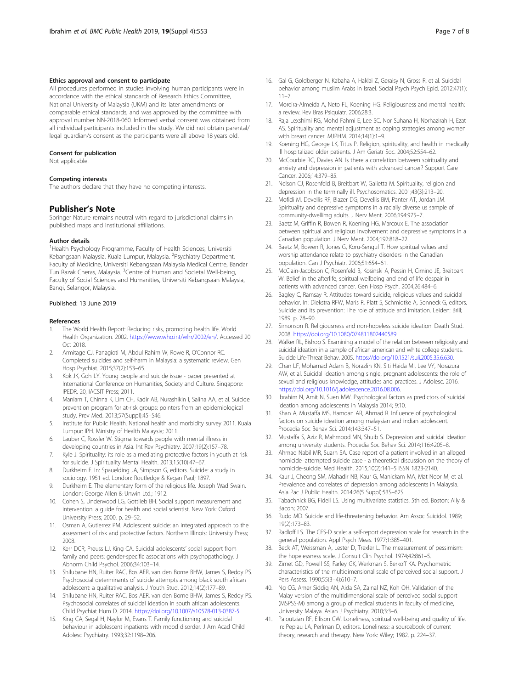#### <span id="page-6-0"></span>Ethics approval and consent to participate

All procedures performed in studies involving human participants were in accordance with the ethical standards of Research Ethics Committee, National University of Malaysia (UKM) and its later amendments or comparable ethical standards, and was approved by the committee with approval number NN-2018-060. Informed verbal consent was obtained from all individual participants included in the study. We did not obtain parental/ legal guardian/s consent as the participants were all above 18 years old.

#### Consent for publication

Not applicable.

#### Competing interests

The authors declare that they have no competing interests.

## Publisher's Note

Springer Nature remains neutral with regard to jurisdictional claims in published maps and institutional affiliations.

## Author details

<sup>1</sup>Health Psychology Programme, Faculty of Health Sciences, Universiti Kebangsaan Malaysia, Kuala Lumpur, Malaysia. <sup>2</sup>Psychiatry Department, Faculty of Medicine, Universiti Kebangsaan Malaysia Medical Centre, Bandar Tun Razak Cheras, Malaysia. <sup>3</sup>Centre of Human and Societal Well-being, Faculty of Social Sciences and Humanities, Universiti Kebangsaan Malaysia, Bangi, Selangor, Malaysia.

#### Published: 13 June 2019

#### References

- 1. The World Health Report: Reducing risks, promoting health life. World Health Organization. 2002. <https://www.who.int/whr/2002/en/>. Accessed 20 Oct 2018.
- 2. Armitage CJ, Panagioti M, Abdul Rahim W, Rowe R, O'Connor RC. Completed suicides and self-harm in Malaysia: a systematic review. Gen Hosp Psychiat. 2015;37(2):153–65.
- 3. Kok JK, Goh LY. Young people and suicide issue paper presented at International Conference on Humanities, Society and Culture. Singapore: IPEDR, 20, IACSIT Press; 2011.
- 4. Maniam T, Chinna K, Lim CH, Kadir AB, Nurashikin I, Salina AA, et al. Suicide prevention program for at-risk groups: pointers from an epidemiological study. Prev Med. 2013;57(Suppl):45–S46.
- 5. Institute for Public Health. National health and morbidity survey 2011. Kuala Lumpur: IPH. Ministry of Health Malaysia; 2011.
- 6. Lauber C, Rossler W. Stigma towards people with mental illness in developing countries in Asia. Int Rev Psychiatry. 2007;19(2):157–78.
- 7. Kyle J. Spirituality: its role as a mediating protective factors in youth at risk for suicide. J Spirituality Mental Health. 2013;15(10):47–67.
- 8. Durkheim E. In: Spauelding JA, Simpson G, editors. Suicide: a study in sociology. 1951 ed. London: Routledge & Kegan Paul; 1897.
- 9. Durkheim E. The elementary form of the religious life. Joseph Wad Swain. London: George Allen & Unwin Ltd.; 1912.
- 10. Cohen S, Underwood LG, Gottlieb BH. Social support measurement and intervention: a guide for health and social scientist. New York: Oxford University Press; 2000. p. 29–52.
- 11. Osman A, Gutierrez PM. Adolescent suicide: an integrated approach to the assessment of risk and protective factors. Northern Illinois: University Press; 2008.
- 12. Kerr DCR, Preuss LJ, King CA. Suicidal adolescents' social support from family and peers: gender-specific associations with psychopathology. J Abnorm Child Psychol. 2006;34:103–14.
- 13. Shilubane HN, Ruiter RAC, Bos AER, van den Borne BHW, James S, Reddy PS. Psychosocial determinants of suicide attempts among black south african adolescent: a qualitative analysis. J Youth Stud. 2012;14(2):177–89.
- 14. Shilubane HN, Ruiter RAC, Bos AER, van den Borne BHW, James S, Reddy PS. Psychosocial correlates of suicidal ideation in south african adolescents. Child Psychiat Hum D. 2014. [https://doi.org/10.1007/s10578-013-0387-5.](https://doi.org/10.1007/s10578-013-0387-5)
- 15. King CA, Segal H, Naylor M, Evans T. Family functioning and suicidal behaviour in adolescent inpatients with mood disorder. J Am Acad Child Adolesc Psychiatry. 1993;32:1198–206.
- 16. Gal G, Goldberger N, Kabaha A, Haklai Z, Geraisy N, Gross R, et al. Suicidal behavior among muslim Arabs in Israel. Social Psych Psych Epid. 2012;47(1):  $11 - 7$
- 17. Moreira-Almeida A, Neto FL, Koening HG. Religiousness and mental health: a review. Rev Bras Psiquiatr. 2006;28:3.
- 18. Raja Lexshimi RG, Mohd Fahmi E, Lee SC, Nor Suhana H, Norhazirah H, Ezat AS. Spirituality and mental adjustment as coping strategies among women with breast cancer. MJPHM. 2014;14(1):1–9.
- 19. Koening HG, George LK, Titus P. Religion, spirituality, and health in medically ill hospitalized older patients. J Am Geriatr Soc. 2004;52:554–62.
- 20. McCourbie RC, Davies AN. Is there a correlation between spirituality and anxiety and depression in patients with advanced cancer? Support Care Cancer. 2006;14:379–85.
- 21. Nelson CJ, Rosenfeld B, Breitbart W, Galietta M. Spirituality, religion and depression in the terminally ill. Psychosomatics. 2001;43(3):213–20.
- 22. Mofidi M, Devellis RF, Blazer DG, Devellis BM, Panter AT, Jordan JM. Spirituality and depressive symptoms in a racially diverse us sample of community-dwellimg adults. J Nerv Ment. 2006;194:975–7.
- 23. Baetz M, Griffin R, Bowen R, Koening HG, Marcoux E. The association between spiritual and religious involvement and depressive symptoms in a Canadian population. J Nerv Ment. 2004;192:818–22.
- 24. Baetz M, Bowen R, Jones G, Koru-Sengul T. How spiritual values and worship attendance relate to psychiatry disorders in the Canadian population. Can J Psychiatr. 2006;51:654–61.
- 25. McClain-Jacobson C, Rosenfeld B, Kosinski A, Pessin H, Cimino JE, Breitbart W. Belief in the afterlife, spiritual wellbeing and end of life despair in patients with advanced cancer. Gen Hosp Psych. 2004;26:484–6.
- 26. Bagley C, Ramsay R. Attitudes toward suicide, religious values and suicidal behavior. In: Diekstra RFW, Maris R, Platt S, Schmidtke A, Sonneck G, editors. Suicide and its prevention: The role of attitude and imitation. Leiden: Brill; 1989. p. 78–90.
- 27. Simonson R. Religiousness and non-hopeless suicide ideation. Death Stud. 2008. <https://doi.org/10.1080/074811802440589>.
- 28. Walker RL, Bishop S. Examining a model of the relation between religiosity and suicidal ideation in a sample of african american and white college students. Suicide Life-Threat Behav. 2005. [https://doi.org/10.1521/suli.2005.35.6.630.](https://doi.org/10.1521/suli.2005.35.6.630)
- 29. Chan LF, Mohamad Adam B, Norazlin KN, Siti Haida MI, Lee VY, Norazura AW, et al. Suicidal ideation among single, pregnant adolescents: the role of sexual and religious knowledge, attitudes and practices. J Adolesc. 2016. <https://doi.org/10.1016/j.adolescence.2016.08.006>.
- 30. Ibrahim N, Amit N, Suen MW. Psychological factors as predictors of suicidal ideation among adolescents in Malaysia 2014; 9:10.
- 31. Khan A, Mustaffa MS, Hamdan AR, Ahmad R. Influence of psychological factors on suicide ideation among malaysian and indian adolescent. Procedia Soc Behav Sci. 2014;143:347–51.
- 32. Mustaffa S, Aziz R, Mahmood MN, Shuib S. Depression and suicidal ideation among university students. Procedia Soc Behav Sci. 2014;116:4205–8.
- 33. Ahmad Nabil MR, Suarn SA. Case report of a patient involved in an alleged homicide–attempted suicide case - a theoretical discussion on the theory of homicide-suicide. Med Health. 2015;10(2):141–5 ISSN 1823-2140.
- 34. Kaur J, Cheong SM, Mahadir NB, Kaur G, Manickam MA, Mat Noor M, et al. Prevalence and correlates of depression among adolescents in Malaysia. Asia Pac J Public Health. 2014;26(5 Suppl):53S–62S.
- Tabachnick BG, Fidell LS. Using multivariate statistics. 5th ed. Boston: Ally & Bacon; 2007.
- 36. Rudd MD. Suicide and life-threatening behavior. Am Assoc Suicidol. 1989; 19(2):173–83.
- 37. Radloff LS. The CES-D scale: a self-report depression scale for research in the general population. Appl Psych Meas. 1977;1:385–401.
- 38. Beck AT, Weissman A, Lester D, Trexler L. The measurement of pessimism: the hopelessness scale. J Consult Clin Psychol. 1974;42:861–5.
- 39. Zimet GD, Powell SS, Farley GK, Werkman S, Berkoff KA. Psychometric characteristics of the multidimensional scale of perceived social support. J Pers Assess. 1990;55(3–4):610–7.
- 40. Ng CG, Amer Siddiq AN, Aida SA, Zainal NZ, Koh OH. Validation of the Malay version of the multidimensional scale of perceived social support (MSPSS-M) among a group of medical students in faculty of medicine, University Malaya. Asian J Psychiatry. 2010;3:3–6.
- 41. Paloutzian RF, Ellison CW. Loneliness, spiritual well-being and quality of life. In: Peplau LA, Perlman D, editors. Loneliness: a sourcebook of current theory, research and therapy. New York: Wiley; 1982. p. 224–37.